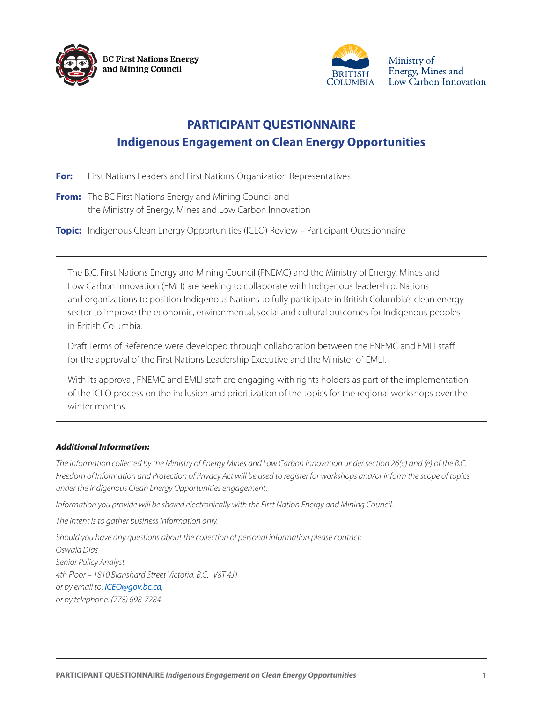



## **PARTICIPANT QUESTIONNAIRE Indigenous Engagement on Clean Energy Opportunities**

- **For:** First Nations Leaders and First Nations' Organization Representatives
- **From:** The BC First Nations Energy and Mining Council and the Ministry of Energy, Mines and Low Carbon Innovation
- **Topic:** Indigenous Clean Energy Opportunities (ICEO) Review Participant Questionnaire

The B.C. First Nations Energy and Mining Council (FNEMC) and the Ministry of Energy, Mines and Low Carbon Innovation (EMLI) are seeking to collaborate with Indigenous leadership, Nations and organizations to position Indigenous Nations to fully participate in British Columbia's clean energy sector to improve the economic, environmental, social and cultural outcomes for Indigenous peoples in British Columbia.

Draft Terms of Reference were developed through collaboration between the FNEMC and EMLI staff for the approval of the First Nations Leadership Executive and the Minister of EMLI.

With its approval, FNEMC and EMLI staff are engaging with rights holders as part of the implementation of the ICEO process on the inclusion and prioritization of the topics for the regional workshops over the winter months.

## *Additional Information:*

*The information collected by the Ministry of Energy Mines and Low Carbon Innovation under section 26(c) and (e) of the B.C. Freedom of Information and Protection of Privacy Act will be used to register for workshops and/or inform the scope of topics under the Indigenous Clean Energy Opportunities engagement.* 

*Information you provide will be shared electronically with the First Nation Energy and Mining Council.* 

*The intent is to gather business information only.* 

*Should you have any questions about the collection of personal information please contact: Oswald Dias Senior Policy Analyst 4th Floor – 1810 Blanshard Street Victoria, B.C. V8T 4J1 or by email to: ICEO@gov.bc.ca, or by telephone: (778) 698-7284.*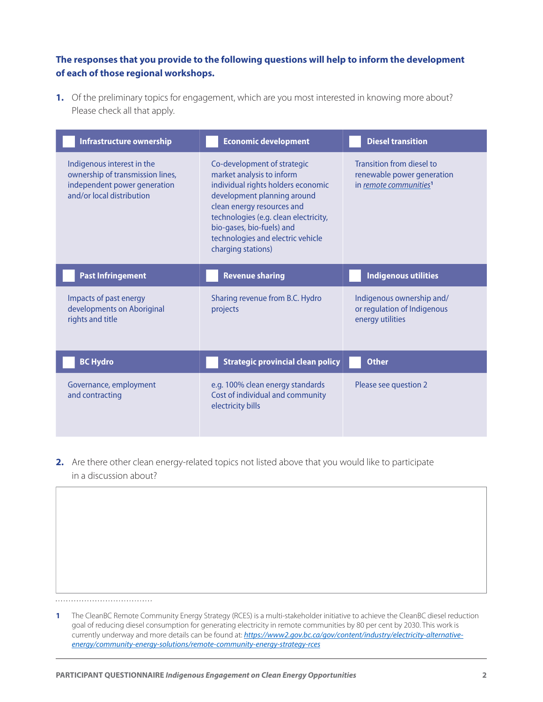## **The responses that you provide to the following questions will help to inform the development of each of those regional workshops.**

**1.** Of the preliminary topics for engagement, which are you most interested in knowing more about? Please check all that apply.

| Infrastructure ownership                                                                                                    | <b>Economic development</b>                                                                                                                                                                                                                                                                  | <b>Diesel transition</b>                                                                      |
|-----------------------------------------------------------------------------------------------------------------------------|----------------------------------------------------------------------------------------------------------------------------------------------------------------------------------------------------------------------------------------------------------------------------------------------|-----------------------------------------------------------------------------------------------|
| Indigenous interest in the<br>ownership of transmission lines,<br>independent power generation<br>and/or local distribution | Co-development of strategic<br>market analysis to inform<br>individual rights holders economic<br>development planning around<br>clean energy resources and<br>technologies (e.g. clean electricity,<br>bio-gases, bio-fuels) and<br>technologies and electric vehicle<br>charging stations) | Transition from diesel to<br>renewable power generation<br>in remote communities <sup>1</sup> |
| <b>Past Infringement</b>                                                                                                    | <b>Revenue sharing</b>                                                                                                                                                                                                                                                                       | <b>Indigenous utilities</b>                                                                   |
| Impacts of past energy<br>developments on Aboriginal<br>rights and title                                                    | Sharing revenue from B.C. Hydro<br>projects                                                                                                                                                                                                                                                  | Indigenous ownership and/<br>or regulation of Indigenous<br>energy utilities                  |
| <b>BC Hydro</b>                                                                                                             | <b>Strategic provincial clean policy</b>                                                                                                                                                                                                                                                     | <b>Other</b>                                                                                  |
| Governance, employment<br>and contracting                                                                                   | e.g. 100% clean energy standards<br>Cost of individual and community                                                                                                                                                                                                                         | Please see question 2                                                                         |

**2.** Are there other clean energy-related topics not listed above that you would like to participate in a discussion about?

**1** The CleanBC Remote Community Energy Strategy (RCES) is a multi-stakeholder initiative to achieve the CleanBC diesel reduction goal of reducing diesel consumption for generating electricity in remote communities by 80 per cent by 2030. This work is currently underway and more details can be found at: *[https://www2.gov.bc.ca/gov/content/industry/electricity-alternative](https://www2.gov.bc.ca/gov/content/industry/electricity-alternative-energy/community-energy-solutions/remote-community-energy-strategy-rces)[energy/community-energy-solutions/remote-community-energy-strategy-rces](https://www2.gov.bc.ca/gov/content/industry/electricity-alternative-energy/community-energy-solutions/remote-community-energy-strategy-rces)*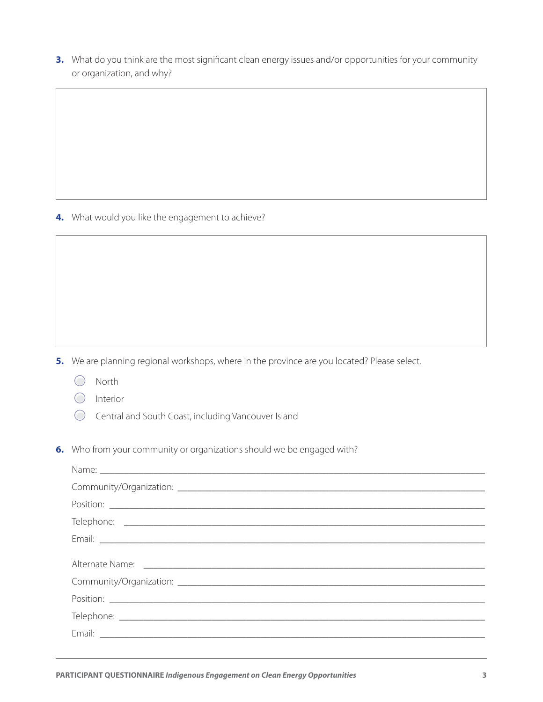3. What do you think are the most significant clean energy issues and/or opportunities for your community or organization, and why?

4. What would you like the engagement to achieve?

5. We are planning regional workshops, where in the province are you located? Please select.

- $\bigcirc$  North
- $\bigcirc$  Interior
- Central and South Coast, including Vancouver Island
- 6. Who from your community or organizations should we be engaged with?